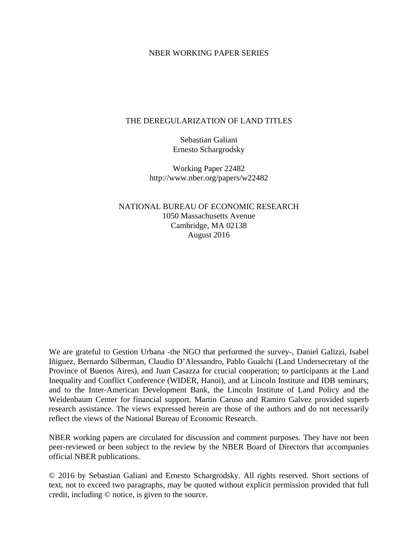## NBER WORKING PAPER SERIES

## THE DEREGULARIZATION OF LAND TITLES

Sebastian Galiani Ernesto Schargrodsky

Working Paper 22482 http://www.nber.org/papers/w22482

NATIONAL BUREAU OF ECONOMIC RESEARCH 1050 Massachusetts Avenue Cambridge, MA 02138 August 2016

We are grateful to Gestion Urbana -the NGO that performed the survey-, Daniel Galizzi, Isabel Iñiguez, Bernardo Silberman, Claudio D'Alessandro, Pablo Gualchi (Land Undersecretary of the Province of Buenos Aires), and Juan Casazza for crucial cooperation; to participants at the Land Inequality and Conflict Conference (WIDER, Hanoi), and at Lincoln Institute and IDB seminars; and to the Inter-American Development Bank, the Lincoln Institute of Land Policy and the Weidenbaum Center for financial support. Martin Caruso and Ramiro Galvez provided superb research assistance. The views expressed herein are those of the authors and do not necessarily reflect the views of the National Bureau of Economic Research.

NBER working papers are circulated for discussion and comment purposes. They have not been peer-reviewed or been subject to the review by the NBER Board of Directors that accompanies official NBER publications.

© 2016 by Sebastian Galiani and Ernesto Schargrodsky. All rights reserved. Short sections of text, not to exceed two paragraphs, may be quoted without explicit permission provided that full credit, including © notice, is given to the source.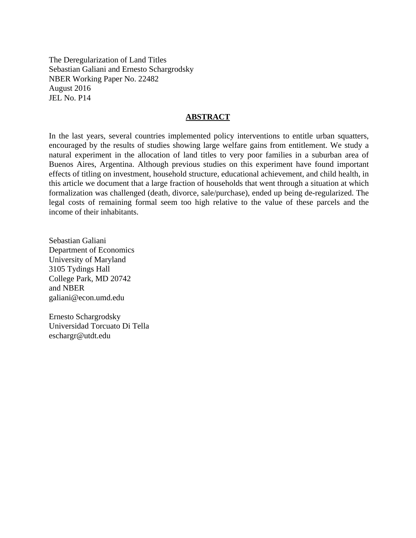The Deregularization of Land Titles Sebastian Galiani and Ernesto Schargrodsky NBER Working Paper No. 22482 August 2016 JEL No. P14

## **ABSTRACT**

In the last years, several countries implemented policy interventions to entitle urban squatters, encouraged by the results of studies showing large welfare gains from entitlement. We study a natural experiment in the allocation of land titles to very poor families in a suburban area of Buenos Aires, Argentina. Although previous studies on this experiment have found important effects of titling on investment, household structure, educational achievement, and child health, in this article we document that a large fraction of households that went through a situation at which formalization was challenged (death, divorce, sale/purchase), ended up being de-regularized. The legal costs of remaining formal seem too high relative to the value of these parcels and the income of their inhabitants.

Sebastian Galiani Department of Economics University of Maryland 3105 Tydings Hall College Park, MD 20742 and NBER galiani@econ.umd.edu

Ernesto Schargrodsky Universidad Torcuato Di Tella eschargr@utdt.edu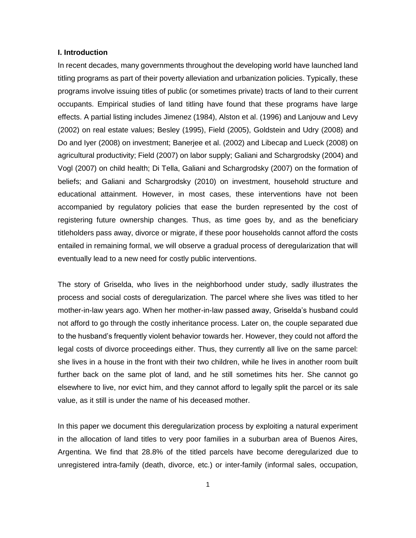#### **I. Introduction**

In recent decades, many governments throughout the developing world have launched land titling programs as part of their poverty alleviation and urbanization policies. Typically, these programs involve issuing titles of public (or sometimes private) tracts of land to their current occupants. Empirical studies of land titling have found that these programs have large effects. A partial listing includes Jimenez (1984), Alston et al. (1996) and Lanjouw and Levy (2002) on real estate values; Besley (1995), Field (2005), Goldstein and Udry (2008) and Do and Iyer (2008) on investment; Banerjee et al. (2002) and Libecap and Lueck (2008) on agricultural productivity; Field (2007) on labor supply; Galiani and Schargrodsky (2004) and Vogl (2007) on child health; Di Tella, Galiani and Schargrodsky (2007) on the formation of beliefs; and Galiani and Schargrodsky (2010) on investment, household structure and educational attainment. However, in most cases, these interventions have not been accompanied by regulatory policies that ease the burden represented by the cost of registering future ownership changes. Thus, as time goes by, and as the beneficiary titleholders pass away, divorce or migrate, if these poor households cannot afford the costs entailed in remaining formal, we will observe a gradual process of deregularization that will eventually lead to a new need for costly public interventions.

The story of Griselda, who lives in the neighborhood under study, sadly illustrates the process and social costs of deregularization. The parcel where she lives was titled to her mother-in-law years ago. When her mother-in-law passed away, Griselda's husband could not afford to go through the costly inheritance process. Later on, the couple separated due to the husband's frequently violent behavior towards her. However, they could not afford the legal costs of divorce proceedings either. Thus, they currently all live on the same parcel: she lives in a house in the front with their two children, while he lives in another room built further back on the same plot of land, and he still sometimes hits her. She cannot go elsewhere to live, nor evict him, and they cannot afford to legally split the parcel or its sale value, as it still is under the name of his deceased mother.

In this paper we document this deregularization process by exploiting a natural experiment in the allocation of land titles to very poor families in a suburban area of Buenos Aires, Argentina. We find that 28.8% of the titled parcels have become deregularized due to unregistered intra-family (death, divorce, etc.) or inter-family (informal sales, occupation,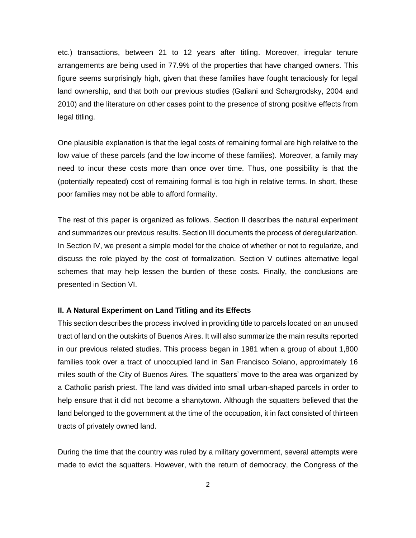etc.) transactions, between 21 to 12 years after titling. Moreover, irregular tenure arrangements are being used in 77.9% of the properties that have changed owners. This figure seems surprisingly high, given that these families have fought tenaciously for legal land ownership, and that both our previous studies (Galiani and Schargrodsky, 2004 and 2010) and the literature on other cases point to the presence of strong positive effects from legal titling.

One plausible explanation is that the legal costs of remaining formal are high relative to the low value of these parcels (and the low income of these families). Moreover, a family may need to incur these costs more than once over time. Thus, one possibility is that the (potentially repeated) cost of remaining formal is too high in relative terms. In short, these poor families may not be able to afford formality.

The rest of this paper is organized as follows. Section II describes the natural experiment and summarizes our previous results. Section III documents the process of deregularization. In Section IV, we present a simple model for the choice of whether or not to regularize, and discuss the role played by the cost of formalization. Section V outlines alternative legal schemes that may help lessen the burden of these costs. Finally, the conclusions are presented in Section VI.

## **II. A Natural Experiment on Land Titling and its Effects**

This section describes the process involved in providing title to parcels located on an unused tract of land on the outskirts of Buenos Aires. It will also summarize the main results reported in our previous related studies. This process began in 1981 when a group of about 1,800 families took over a tract of unoccupied land in San Francisco Solano, approximately 16 miles south of the City of Buenos Aires. The squatters' move to the area was organized by a Catholic parish priest. The land was divided into small urban-shaped parcels in order to help ensure that it did not become a shantytown. Although the squatters believed that the land belonged to the government at the time of the occupation, it in fact consisted of thirteen tracts of privately owned land.

During the time that the country was ruled by a military government, several attempts were made to evict the squatters. However, with the return of democracy, the Congress of the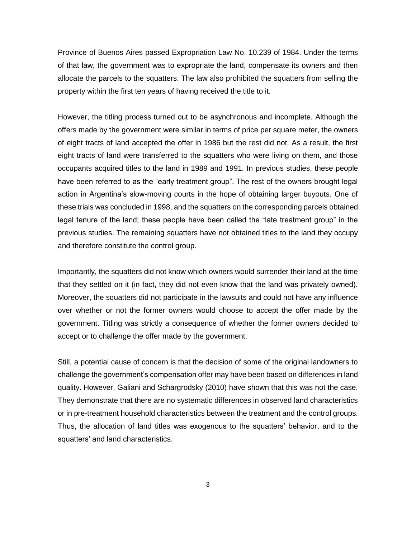Province of Buenos Aires passed Expropriation Law No. 10.239 of 1984. Under the terms of that law, the government was to expropriate the land, compensate its owners and then allocate the parcels to the squatters. The law also prohibited the squatters from selling the property within the first ten years of having received the title to it.

However, the titling process turned out to be asynchronous and incomplete. Although the offers made by the government were similar in terms of price per square meter, the owners of eight tracts of land accepted the offer in 1986 but the rest did not. As a result, the first eight tracts of land were transferred to the squatters who were living on them, and those occupants acquired titles to the land in 1989 and 1991. In previous studies, these people have been referred to as the "early treatment group". The rest of the owners brought legal action in Argentina's slow-moving courts in the hope of obtaining larger buyouts. One of these trials was concluded in 1998, and the squatters on the corresponding parcels obtained legal tenure of the land; these people have been called the "late treatment group" in the previous studies. The remaining squatters have not obtained titles to the land they occupy and therefore constitute the control group.

Importantly, the squatters did not know which owners would surrender their land at the time that they settled on it (in fact, they did not even know that the land was privately owned). Moreover, the squatters did not participate in the lawsuits and could not have any influence over whether or not the former owners would choose to accept the offer made by the government. Titling was strictly a consequence of whether the former owners decided to accept or to challenge the offer made by the government.

Still, a potential cause of concern is that the decision of some of the original landowners to challenge the government's compensation offer may have been based on differences in land quality. However, Galiani and Schargrodsky (2010) have shown that this was not the case. They demonstrate that there are no systematic differences in observed land characteristics or in pre-treatment household characteristics between the treatment and the control groups. Thus, the allocation of land titles was exogenous to the squatters' behavior, and to the squatters' and land characteristics.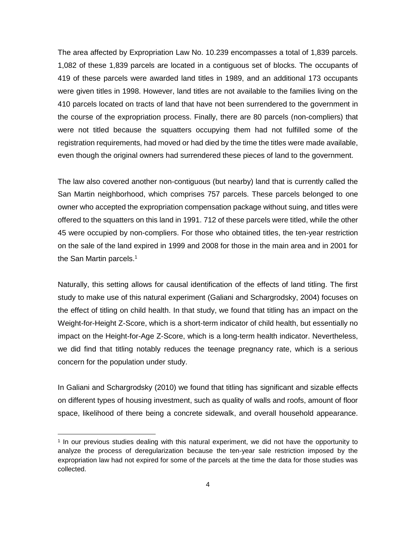The area affected by Expropriation Law No. 10.239 encompasses a total of 1,839 parcels. 1,082 of these 1,839 parcels are located in a contiguous set of blocks. The occupants of 419 of these parcels were awarded land titles in 1989, and an additional 173 occupants were given titles in 1998. However, land titles are not available to the families living on the 410 parcels located on tracts of land that have not been surrendered to the government in the course of the expropriation process. Finally, there are 80 parcels (non-compliers) that were not titled because the squatters occupying them had not fulfilled some of the registration requirements, had moved or had died by the time the titles were made available, even though the original owners had surrendered these pieces of land to the government.

The law also covered another non-contiguous (but nearby) land that is currently called the San Martin neighborhood, which comprises 757 parcels. These parcels belonged to one owner who accepted the expropriation compensation package without suing, and titles were offered to the squatters on this land in 1991. 712 of these parcels were titled, while the other 45 were occupied by non-compliers. For those who obtained titles, the ten-year restriction on the sale of the land expired in 1999 and 2008 for those in the main area and in 2001 for the San Martin parcels.<sup>1</sup>

Naturally, this setting allows for causal identification of the effects of land titling. The first study to make use of this natural experiment (Galiani and Schargrodsky, 2004) focuses on the effect of titling on child health. In that study, we found that titling has an impact on the Weight-for-Height Z-Score, which is a short-term indicator of child health, but essentially no impact on the Height-for-Age Z-Score, which is a long-term health indicator. Nevertheless, we did find that titling notably reduces the teenage pregnancy rate, which is a serious concern for the population under study.

In Galiani and Schargrodsky (2010) we found that titling has significant and sizable effects on different types of housing investment, such as quality of walls and roofs, amount of floor space, likelihood of there being a concrete sidewalk, and overall household appearance.

 $\overline{a}$ 

<sup>1</sup> In our previous studies dealing with this natural experiment, we did not have the opportunity to analyze the process of deregularization because the ten-year sale restriction imposed by the expropriation law had not expired for some of the parcels at the time the data for those studies was collected.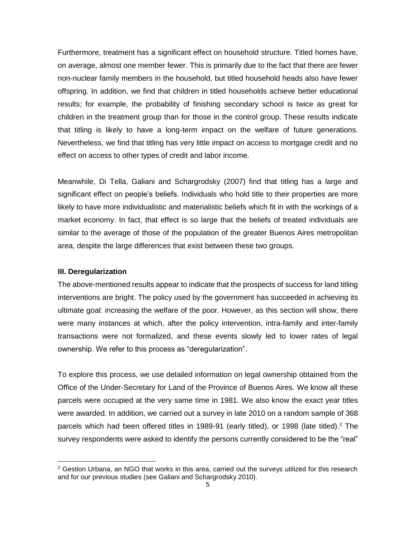Furthermore, treatment has a significant effect on household structure. Titled homes have, on average, almost one member fewer. This is primarily due to the fact that there are fewer non-nuclear family members in the household, but titled household heads also have fewer offspring. In addition, we find that children in titled households achieve better educational results; for example, the probability of finishing secondary school is twice as great for children in the treatment group than for those in the control group. These results indicate that titling is likely to have a long-term impact on the welfare of future generations. Nevertheless, we find that titling has very little impact on access to mortgage credit and no effect on access to other types of credit and labor income.

Meanwhile, Di Tella, Galiani and Schargrodsky (2007) find that titling has a large and significant effect on people's beliefs. Individuals who hold title to their properties are more likely to have more individualistic and materialistic beliefs which fit in with the workings of a market economy. In fact, that effect is so large that the beliefs of treated individuals are similar to the average of those of the population of the greater Buenos Aires metropolitan area, despite the large differences that exist between these two groups.

#### **III. Deregularization**

 $\overline{a}$ 

The above-mentioned results appear to indicate that the prospects of success for land titling interventions are bright. The policy used by the government has succeeded in achieving its ultimate goal: increasing the welfare of the poor. However, as this section will show, there were many instances at which, after the policy intervention, intra-family and inter-family transactions were not formalized, and these events slowly led to lower rates of legal ownership. We refer to this process as "deregularization".

To explore this process, we use detailed information on legal ownership obtained from the Office of the Under-Secretary for Land of the Province of Buenos Aires. We know all these parcels were occupied at the very same time in 1981. We also know the exact year titles were awarded. In addition, we carried out a survey in late 2010 on a random sample of 368 parcels which had been offered titles in 1989-91 (early titled), or 1998 (late titled).<sup>2</sup> The survey respondents were asked to identify the persons currently considered to be the "real"

<sup>2</sup> Gestion Urbana, an NGO that works in this area, carried out the surveys utilized for this research and for our previous studies (see Galiani and Schargrodsky 2010).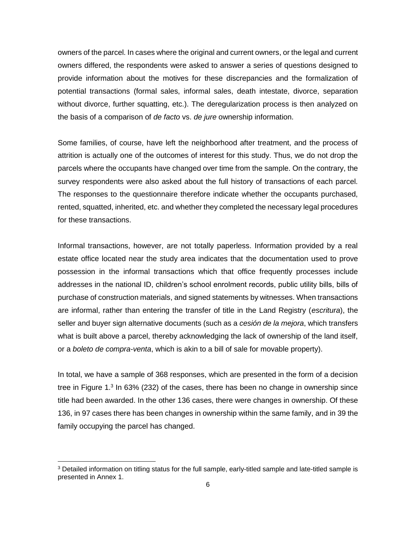owners of the parcel. In cases where the original and current owners, or the legal and current owners differed, the respondents were asked to answer a series of questions designed to provide information about the motives for these discrepancies and the formalization of potential transactions (formal sales, informal sales, death intestate, divorce, separation without divorce, further squatting, etc.). The deregularization process is then analyzed on the basis of a comparison of *de facto* vs. *de jure* ownership information.

Some families, of course, have left the neighborhood after treatment, and the process of attrition is actually one of the outcomes of interest for this study. Thus, we do not drop the parcels where the occupants have changed over time from the sample. On the contrary, the survey respondents were also asked about the full history of transactions of each parcel. The responses to the questionnaire therefore indicate whether the occupants purchased, rented, squatted, inherited, etc. and whether they completed the necessary legal procedures for these transactions.

Informal transactions, however, are not totally paperless. Information provided by a real estate office located near the study area indicates that the documentation used to prove possession in the informal transactions which that office frequently processes include addresses in the national ID, children's school enrolment records, public utility bills, bills of purchase of construction materials, and signed statements by witnesses. When transactions are informal, rather than entering the transfer of title in the Land Registry (*escritura*), the seller and buyer sign alternative documents (such as a *cesión de la mejora*, which transfers what is built above a parcel, thereby acknowledging the lack of ownership of the land itself, or a *boleto de compra-venta*, which is akin to a bill of sale for movable property).

In total, we have a sample of 368 responses, which are presented in the form of a decision tree in Figure  $1<sup>3</sup>$  In 63% (232) of the cases, there has been no change in ownership since title had been awarded. In the other 136 cases, there were changes in ownership. Of these 136, in 97 cases there has been changes in ownership within the same family, and in 39 the family occupying the parcel has changed.

 $\overline{a}$ 

<sup>3</sup> Detailed information on titling status for the full sample, early-titled sample and late-titled sample is presented in Annex 1.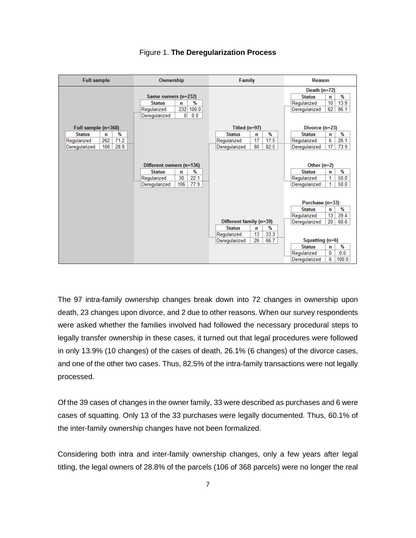

#### Figure 1. **The Deregularization Process**

The 97 intra-family ownership changes break down into 72 changes in ownership upon death, 23 changes upon divorce, and 2 due to other reasons. When our survey respondents were asked whether the families involved had followed the necessary procedural steps to legally transfer ownership in these cases, it turned out that legal procedures were followed in only 13.9% (10 changes) of the cases of death, 26.1% (6 changes) of the divorce cases, and one of the other two cases. Thus, 82.5% of the intra-family transactions were not legally processed.

Of the 39 cases of changes in the owner family, 33 were described as purchases and 6 were cases of squatting. Only 13 of the 33 purchases were legally documented. Thus, 60.1% of the inter-family ownership changes have not been formalized.

Considering both intra and inter-family ownership changes, only a few years after legal titling, the legal owners of 28.8% of the parcels (106 of 368 parcels) were no longer the real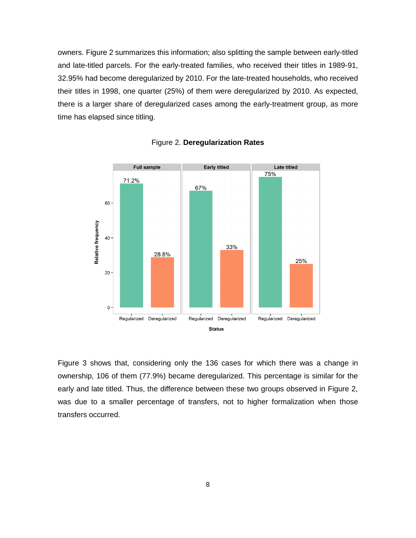owners. Figure 2 summarizes this information; also splitting the sample between early-titled and late-titled parcels. For the early-treated families, who received their titles in 1989-91, 32.95% had become deregularized by 2010. For the late-treated households, who received their titles in 1998, one quarter (25%) of them were deregularized by 2010. As expected, there is a larger share of deregularized cases among the early-treatment group, as more time has elapsed since titling.



Figure 2. **Deregularization Rates**

Figure 3 shows that, considering only the 136 cases for which there was a change in ownership, 106 of them (77.9%) became deregularized. This percentage is similar for the early and late titled. Thus, the difference between these two groups observed in Figure 2, was due to a smaller percentage of transfers, not to higher formalization when those transfers occurred.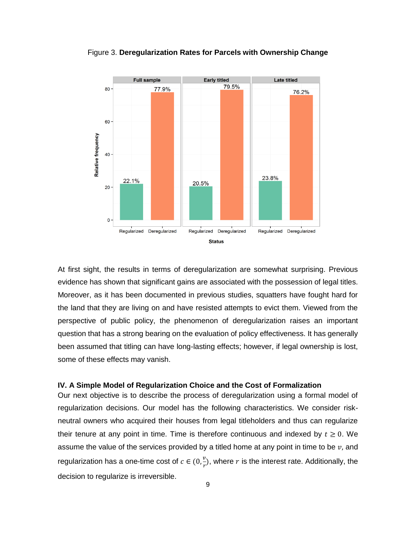



At first sight, the results in terms of deregularization are somewhat surprising. Previous evidence has shown that significant gains are associated with the possession of legal titles. Moreover, as it has been documented in previous studies, squatters have fought hard for the land that they are living on and have resisted attempts to evict them. Viewed from the perspective of public policy, the phenomenon of deregularization raises an important question that has a strong bearing on the evaluation of policy effectiveness. It has generally been assumed that titling can have long-lasting effects; however, if legal ownership is lost, some of these effects may vanish.

#### **IV. A Simple Model of Regularization Choice and the Cost of Formalization**

Our next objective is to describe the process of deregularization using a formal model of regularization decisions. Our model has the following characteristics. We consider riskneutral owners who acquired their houses from legal titleholders and thus can regularize their tenure at any point in time. Time is therefore continuous and indexed by  $t \geq 0$ . We assume the value of the services provided by a titled home at any point in time to be  $v$ , and regularization has a one-time cost of  $c \in (0, \frac{v}{c})$  $\frac{\nu}{r}$ ), where  $r$  is the interest rate. Additionally, the decision to regularize is irreversible.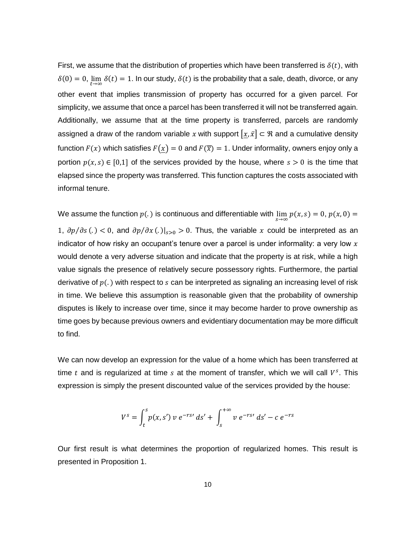First, we assume that the distribution of properties which have been transferred is  $\delta(t)$ , with  $\delta(0) = 0$ ,  $\lim_{t \to \infty} \delta(t) = 1$ . In our study,  $\delta(t)$  is the probability that a sale, death, divorce, or any other event that implies transmission of property has occurred for a given parcel. For simplicity, we assume that once a parcel has been transferred it will not be transferred again. Additionally, we assume that at the time property is transferred, parcels are randomly assigned a draw of the random variable x with support  $[x, \bar{x}] \subset \Re$  and a cumulative density function  $F(x)$  which satisfies  $F(\underline{x}) = 0$  and  $F(\overline{x}) = 1$ . Under informality, owners enjoy only a portion  $p(x, s) \in [0,1]$  of the services provided by the house, where  $s > 0$  is the time that elapsed since the property was transferred. This function captures the costs associated with informal tenure.

We assume the function  $p(.)$  is continuous and differentiable with  $\lim_{s\to\infty}p(x,s)=0,$   $p(x,0)=0$ 1,  $\partial p/\partial s$  (.) < 0, and  $\partial p/\partial x$  (.) $|_{s>0}$  > 0. Thus, the variable x could be interpreted as an indicator of how risky an occupant's tenure over a parcel is under informality: a very low  $x$ would denote a very adverse situation and indicate that the property is at risk, while a high value signals the presence of relatively secure possessory rights. Furthermore, the partial derivative of  $p(.)$  with respect to s can be interpreted as signaling an increasing level of risk in time. We believe this assumption is reasonable given that the probability of ownership disputes is likely to increase over time, since it may become harder to prove ownership as time goes by because previous owners and evidentiary documentation may be more difficult to find.

We can now develop an expression for the value of a home which has been transferred at time  $t$  and is regularized at time  $s$  at the moment of transfer, which we will call  $V^s$ . This expression is simply the present discounted value of the services provided by the house:

$$
V^{s} = \int_{t}^{s} p(x, s') v e^{-rs} ds' + \int_{s}^{+\infty} v e^{-rs} ds' - c e^{-rs}
$$

Our first result is what determines the proportion of regularized homes. This result is presented in Proposition 1.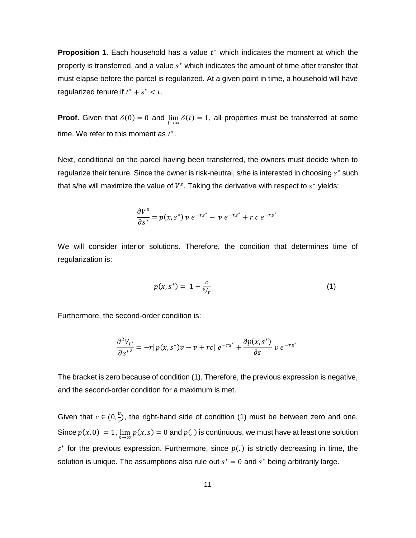**Proposition 1.** Each household has a value  $t^*$  which indicates the moment at which the property is transferred, and a value  $s^*$  which indicates the amount of time after transfer that must elapse before the parcel is regularized. At a given point in time, a household will have regularized tenure if  $t^* + s^* < t$ .

**Proof.** Given that  $\delta(0) = 0$  and  $\lim_{t \to \infty} \delta(t) = 1$ , all properties must be transferred at some time. We refer to this moment as  $t^*$ .

Next, conditional on the parcel having been transferred, the owners must decide when to regularize their tenure. Since the owner is risk-neutral, s/he is interested in choosing  $s^*$  such that s/he will maximize the value of  $V^s$ . Taking the derivative with respect to  $s^*$  yields:

$$
\frac{\partial V^s}{\partial s^*} = p(x, s^*) v e^{-rs^*} - v e^{-rs^*} + r c e^{-rs^*}
$$

We will consider interior solutions. Therefore, the condition that determines time of regularization is:

$$
p(x, s^*) = 1 - \frac{c}{v_{/r}}
$$
 (1)

Furthermore, the second-order condition is:

$$
\frac{\partial^2 V_{t^*}}{\partial s^{*2}} = -r[p(x, s^*)v - v + rc]e^{-rs^*} + \frac{\partial p(x, s^*)}{\partial s} v e^{-rs^*}
$$

The bracket is zero because of condition (1). Therefore, the previous expression is negative, and the second-order condition for a maximum is met.

Given that  $c \in (0, \frac{v}{a})$  $\frac{\nu}{r}$ ), the right-hand side of condition (1) must be between zero and one. Since  $p(x, 0) = 1$ ,  $\lim_{s \to \infty} p(x, s) = 0$  and  $p(.)$  is continuous, we must have at least one solution s<sup>\*</sup> for the previous expression. Furthermore, since  $p(.)$  is strictly decreasing in time, the solution is unique. The assumptions also rule out  $s^* = 0$  and  $s^*$  being arbitrarily large.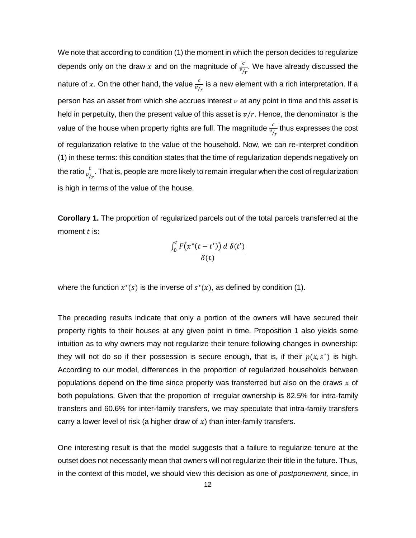We note that according to condition (1) the moment in which the person decides to regularize depends only on the draw x and on the magnitude of  $\frac{c}{v/r}$ . We have already discussed the nature of x. On the other hand, the value  $\frac{c}{v/r}$  is a new element with a rich interpretation. If a person has an asset from which she accrues interest  $v$  at any point in time and this asset is held in perpetuity, then the present value of this asset is  $v/r$ . Hence, the denominator is the value of the house when property rights are full. The magnitude  $\frac{c}{v/r}$  thus expresses the cost of regularization relative to the value of the household. Now, we can re-interpret condition (1) in these terms: this condition states that the time of regularization depends negatively on the ratio  $\frac{c}{v_{/r}}$ . That is, people are more likely to remain irregular when the cost of regularization is high in terms of the value of the house.

**Corollary 1.** The proportion of regularized parcels out of the total parcels transferred at the moment  $t$  is:

$$
\frac{\int_0^t F(x^*(t-t'))\,d\,\delta(t')}{\delta(t)}
$$

where the function  $x^*(s)$  is the inverse of  $s^*(x)$ , as defined by condition (1).

The preceding results indicate that only a portion of the owners will have secured their property rights to their houses at any given point in time. Proposition 1 also yields some intuition as to why owners may not regularize their tenure following changes in ownership: they will not do so if their possession is secure enough, that is, if their  $p(x, s^*)$  is high. According to our model, differences in the proportion of regularized households between populations depend on the time since property was transferred but also on the draws  $x$  of both populations. Given that the proportion of irregular ownership is 82.5% for intra-family transfers and 60.6% for inter-family transfers, we may speculate that intra-family transfers carry a lower level of risk (a higher draw of  $x$ ) than inter-family transfers.

One interesting result is that the model suggests that a failure to regularize tenure at the outset does not necessarily mean that owners will not regularize their title in the future. Thus, in the context of this model, we should view this decision as one of *postponement,* since, in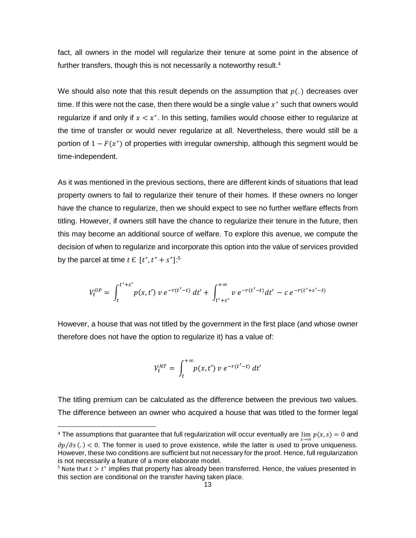fact, all owners in the model will regularize their tenure at some point in the absence of further transfers, though this is not necessarily a noteworthy result.<sup>4</sup>

We should also note that this result depends on the assumption that  $p(.)$  decreases over time. If this were not the case, then there would be a single value  $x^*$  such that owners would regularize if and only if  $x < x^*$ . In this setting, families would choose either to regularize at the time of transfer or would never regularize at all. Nevertheless, there would still be a portion of  $1 - F(x^*)$  of properties with irregular ownership, although this segment would be time-independent.

As it was mentioned in the previous sections, there are different kinds of situations that lead property owners to fail to regularize their tenure of their homes. If these owners no longer have the chance to regularize, then we should expect to see no further welfare effects from titling. However, if owners still have the chance to regularize their tenure in the future, then this may become an additional source of welfare. To explore this avenue, we compute the decision of when to regularize and incorporate this option into the value of services provided by the parcel at time  $t \in [t^*, t^* + s^*]$ :<sup>5</sup>

$$
V_t^{OP} = \int_t^{t^*+s^*} p(x,t') v e^{-r(t'-t)} dt' + \int_{t^*+s^*}^{+\infty} v e^{-r(t'-t)} dt' - c e^{-r(t^*+s^*-t)}
$$

However, a house that was not titled by the government in the first place (and whose owner therefore does not have the option to regularize it) has a value of:

$$
V_t^{NT} = \int_t^{+\infty} p(x, t') \, v \, e^{-r(t'-t)} \, dt'
$$

The titling premium can be calculated as the difference between the previous two values. The difference between an owner who acquired a house that was titled to the former legal

 $\overline{a}$ 

<sup>&</sup>lt;sup>4</sup> The assumptions that guarantee that full regularization will occur eventually are  $\lim_{s\to\infty}p(x,s)=0$  and  $\partial p/\partial s$  (.) < 0. The former is used to prove existence, while the latter is used to prove uniqueness. However, these two conditions are sufficient but not necessary for the proof. Hence, full regularization is not necessarily a feature of a more elaborate model.

<sup>&</sup>lt;sup>5</sup> Note that  $t > t^*$  implies that property has already been transferred. Hence, the values presented in this section are conditional on the transfer having taken place.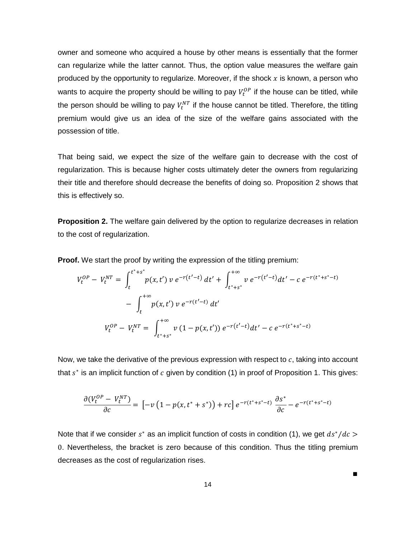owner and someone who acquired a house by other means is essentially that the former can regularize while the latter cannot. Thus, the option value measures the welfare gain produced by the opportunity to regularize. Moreover, if the shock  $x$  is known, a person who wants to acquire the property should be willing to pay  $V_t^{OP}$  if the house can be titled, while the person should be willing to pay  $V_t^{NT}$  if the house cannot be titled. Therefore, the titling premium would give us an idea of the size of the welfare gains associated with the possession of title.

That being said, we expect the size of the welfare gain to decrease with the cost of regularization. This is because higher costs ultimately deter the owners from regularizing their title and therefore should decrease the benefits of doing so. Proposition 2 shows that this is effectively so.

**Proposition 2.** The welfare gain delivered by the option to regularize decreases in relation to the cost of regularization.

**Proof.** We start the proof by writing the expression of the titling premium:

$$
V_t^{OP} - V_t^{NT} = \int_t^{t^* + s^*} p(x, t') v e^{-r(t'-t)} dt' + \int_{t^* + s^*}^{+\infty} v e^{-r(t'-t)} dt' - c e^{-r(t^* + s^* - t)}
$$
  
- 
$$
\int_t^{+\infty} p(x, t') v e^{-r(t'-t)} dt'
$$
  

$$
V_t^{OP} - V_t^{NT} = \int_{t^* + s^*}^{+\infty} v (1 - p(x, t')) e^{-r(t'-t)} dt' - c e^{-r(t^* + s^* - t)}
$$

Now, we take the derivative of the previous expression with respect to  $c$ , taking into account that  $s^*$  is an implicit function of  $c$  given by condition (1) in proof of Proposition 1. This gives:

$$
\frac{\partial (V_t^{OP} - V_t^{NT})}{\partial c} = \left[ -v\left(1 - p(x, t^* + s^*)\right) + rc \right] e^{-r(t^* + s^* - t)} \frac{\partial s^*}{\partial c} - e^{-r(t^* + s^* - t)}
$$

Note that if we consider  $s^*$  as an implicit function of costs in condition (1), we get  $ds^*/dc >$ 0. Nevertheless, the bracket is zero because of this condition. Thus the titling premium decreases as the cost of regularization rises.

∎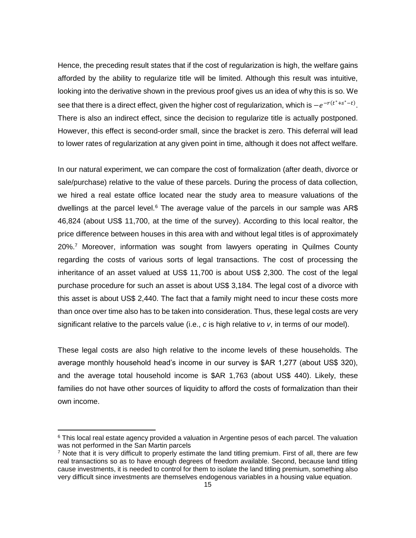Hence, the preceding result states that if the cost of regularization is high, the welfare gains afforded by the ability to regularize title will be limited. Although this result was intuitive, looking into the derivative shown in the previous proof gives us an idea of why this is so. We see that there is a direct effect, given the higher cost of regularization, which is  $-e^{-r(t^*+s^*-t)}$ . There is also an indirect effect, since the decision to regularize title is actually postponed. However, this effect is second-order small, since the bracket is zero. This deferral will lead to lower rates of regularization at any given point in time, although it does not affect welfare.

In our natural experiment, we can compare the cost of formalization (after death, divorce or sale/purchase) relative to the value of these parcels. During the process of data collection, we hired a real estate office located near the study area to measure valuations of the dwellings at the parcel level. $6$  The average value of the parcels in our sample was AR\$ 46,824 (about US\$ 11,700, at the time of the survey). According to this local realtor, the price difference between houses in this area with and without legal titles is of approximately 20%.<sup>7</sup> Moreover, information was sought from lawyers operating in Quilmes County regarding the costs of various sorts of legal transactions. The cost of processing the inheritance of an asset valued at US\$ 11,700 is about US\$ 2,300. The cost of the legal purchase procedure for such an asset is about US\$ 3,184. The legal cost of a divorce with this asset is about US\$ 2,440. The fact that a family might need to incur these costs more than once over time also has to be taken into consideration. Thus, these legal costs are very significant relative to the parcels value (i.e., *c* is high relative to *v*, in terms of our model).

These legal costs are also high relative to the income levels of these households. The average monthly household head's income in our survey is \$AR 1,277 (about US\$ 320), and the average total household income is \$AR 1,763 (about US\$ 440). Likely, these families do not have other sources of liquidity to afford the costs of formalization than their own income.

 $\overline{a}$ 

<sup>&</sup>lt;sup>6</sup> This local real estate agency provided a valuation in Argentine pesos of each parcel. The valuation was not performed in the San Martin parcels

 $<sup>7</sup>$  Note that it is very difficult to properly estimate the land titling premium. First of all, there are few</sup> real transactions so as to have enough degrees of freedom available. Second, because land titling cause investments, it is needed to control for them to isolate the land titling premium, something also very difficult since investments are themselves endogenous variables in a housing value equation.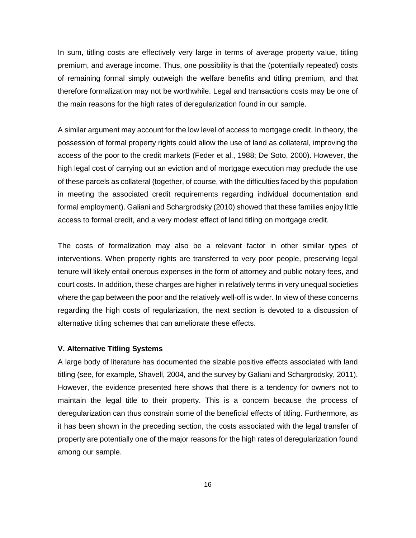In sum, titling costs are effectively very large in terms of average property value, titling premium, and average income. Thus, one possibility is that the (potentially repeated) costs of remaining formal simply outweigh the welfare benefits and titling premium, and that therefore formalization may not be worthwhile. Legal and transactions costs may be one of the main reasons for the high rates of deregularization found in our sample.

A similar argument may account for the low level of access to mortgage credit. In theory, the possession of formal property rights could allow the use of land as collateral, improving the access of the poor to the credit markets (Feder et al., 1988; De Soto, 2000). However, the high legal cost of carrying out an eviction and of mortgage execution may preclude the use of these parcels as collateral (together, of course, with the difficulties faced by this population in meeting the associated credit requirements regarding individual documentation and formal employment). Galiani and Schargrodsky (2010) showed that these families enjoy little access to formal credit, and a very modest effect of land titling on mortgage credit.

The costs of formalization may also be a relevant factor in other similar types of interventions. When property rights are transferred to very poor people, preserving legal tenure will likely entail onerous expenses in the form of attorney and public notary fees, and court costs. In addition, these charges are higher in relatively terms in very unequal societies where the gap between the poor and the relatively well-off is wider. In view of these concerns regarding the high costs of regularization, the next section is devoted to a discussion of alternative titling schemes that can ameliorate these effects.

### **V. Alternative Titling Systems**

A large body of literature has documented the sizable positive effects associated with land titling (see, for example, Shavell, 2004, and the survey by Galiani and Schargrodsky, 2011). However, the evidence presented here shows that there is a tendency for owners not to maintain the legal title to their property. This is a concern because the process of deregularization can thus constrain some of the beneficial effects of titling. Furthermore, as it has been shown in the preceding section, the costs associated with the legal transfer of property are potentially one of the major reasons for the high rates of deregularization found among our sample.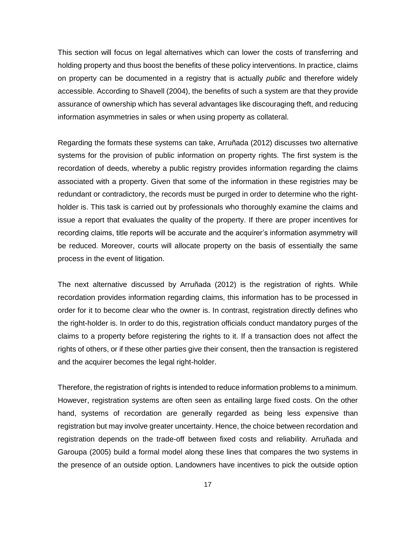This section will focus on legal alternatives which can lower the costs of transferring and holding property and thus boost the benefits of these policy interventions. In practice, claims on property can be documented in a registry that is actually *public* and therefore widely accessible. According to Shavell (2004), the benefits of such a system are that they provide assurance of ownership which has several advantages like discouraging theft, and reducing information asymmetries in sales or when using property as collateral.

Regarding the formats these systems can take, Arruñada (2012) discusses two alternative systems for the provision of public information on property rights. The first system is the recordation of deeds, whereby a public registry provides information regarding the claims associated with a property. Given that some of the information in these registries may be redundant or contradictory, the records must be purged in order to determine who the rightholder is. This task is carried out by professionals who thoroughly examine the claims and issue a report that evaluates the quality of the property. If there are proper incentives for recording claims, title reports will be accurate and the acquirer's information asymmetry will be reduced. Moreover, courts will allocate property on the basis of essentially the same process in the event of litigation.

The next alternative discussed by Arruñada (2012) is the registration of rights. While recordation provides information regarding claims, this information has to be processed in order for it to become clear who the owner is. In contrast, registration directly defines who the right-holder is. In order to do this, registration officials conduct mandatory purges of the claims to a property before registering the rights to it. If a transaction does not affect the rights of others, or if these other parties give their consent, then the transaction is registered and the acquirer becomes the legal right-holder.

Therefore, the registration of rights is intended to reduce information problems to a minimum. However, registration systems are often seen as entailing large fixed costs. On the other hand, systems of recordation are generally regarded as being less expensive than registration but may involve greater uncertainty. Hence, the choice between recordation and registration depends on the trade-off between fixed costs and reliability. Arruñada and Garoupa (2005) build a formal model along these lines that compares the two systems in the presence of an outside option. Landowners have incentives to pick the outside option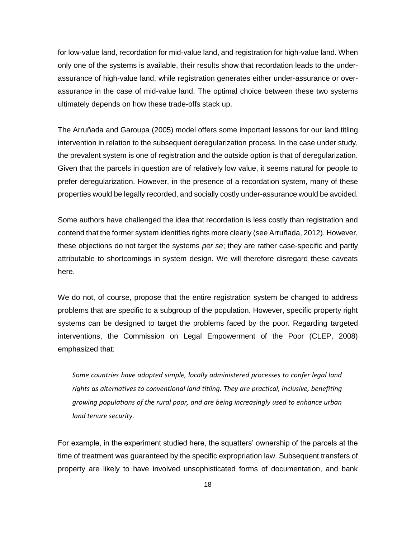for low-value land, recordation for mid-value land, and registration for high-value land. When only one of the systems is available, their results show that recordation leads to the underassurance of high-value land, while registration generates either under-assurance or overassurance in the case of mid-value land. The optimal choice between these two systems ultimately depends on how these trade-offs stack up.

The Arruñada and Garoupa (2005) model offers some important lessons for our land titling intervention in relation to the subsequent deregularization process. In the case under study, the prevalent system is one of registration and the outside option is that of deregularization. Given that the parcels in question are of relatively low value, it seems natural for people to prefer deregularization. However, in the presence of a recordation system, many of these properties would be legally recorded, and socially costly under-assurance would be avoided.

Some authors have challenged the idea that recordation is less costly than registration and contend that the former system identifies rights more clearly (see Arruñada, 2012). However, these objections do not target the systems *per se*; they are rather case-specific and partly attributable to shortcomings in system design. We will therefore disregard these caveats here.

We do not, of course, propose that the entire registration system be changed to address problems that are specific to a subgroup of the population. However, specific property right systems can be designed to target the problems faced by the poor. Regarding targeted interventions, the Commission on Legal Empowerment of the Poor (CLEP, 2008) emphasized that:

*Some countries have adopted simple, locally administered processes to confer legal land rights as alternatives to conventional land titling. They are practical, inclusive, benefiting growing populations of the rural poor, and are being increasingly used to enhance urban land tenure security.*

For example, in the experiment studied here, the squatters' ownership of the parcels at the time of treatment was guaranteed by the specific expropriation law. Subsequent transfers of property are likely to have involved unsophisticated forms of documentation, and bank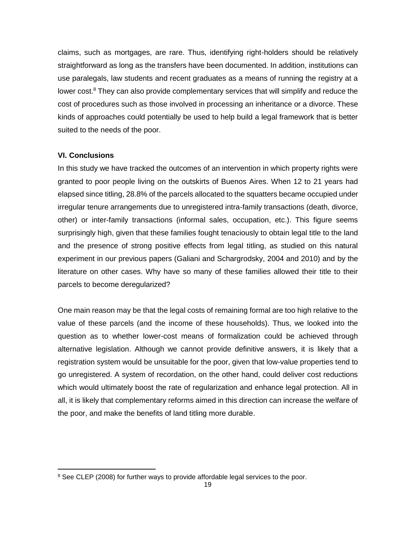claims, such as mortgages, are rare. Thus, identifying right-holders should be relatively straightforward as long as the transfers have been documented. In addition, institutions can use paralegals, law students and recent graduates as a means of running the registry at a lower cost. $8$  They can also provide complementary services that will simplify and reduce the cost of procedures such as those involved in processing an inheritance or a divorce. These kinds of approaches could potentially be used to help build a legal framework that is better suited to the needs of the poor.

# **VI. Conclusions**

 $\overline{a}$ 

In this study we have tracked the outcomes of an intervention in which property rights were granted to poor people living on the outskirts of Buenos Aires. When 12 to 21 years had elapsed since titling, 28.8% of the parcels allocated to the squatters became occupied under irregular tenure arrangements due to unregistered intra-family transactions (death, divorce, other) or inter-family transactions (informal sales, occupation, etc.). This figure seems surprisingly high, given that these families fought tenaciously to obtain legal title to the land and the presence of strong positive effects from legal titling, as studied on this natural experiment in our previous papers (Galiani and Schargrodsky, 2004 and 2010) and by the literature on other cases. Why have so many of these families allowed their title to their parcels to become deregularized?

One main reason may be that the legal costs of remaining formal are too high relative to the value of these parcels (and the income of these households). Thus, we looked into the question as to whether lower-cost means of formalization could be achieved through alternative legislation. Although we cannot provide definitive answers, it is likely that a registration system would be unsuitable for the poor, given that low-value properties tend to go unregistered. A system of recordation, on the other hand, could deliver cost reductions which would ultimately boost the rate of regularization and enhance legal protection. All in all, it is likely that complementary reforms aimed in this direction can increase the welfare of the poor, and make the benefits of land titling more durable.

<sup>&</sup>lt;sup>8</sup> See CLEP (2008) for further ways to provide affordable legal services to the poor.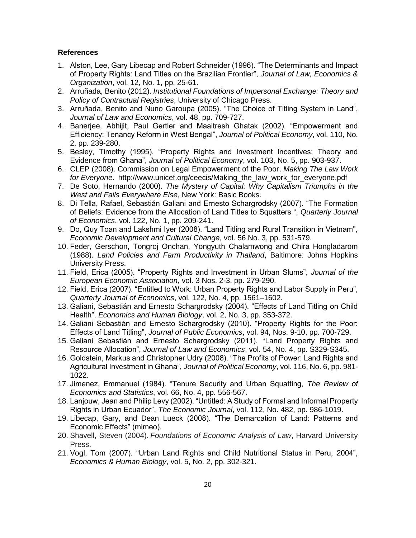### **References**

- 1. Alston, Lee, Gary Libecap and Robert Schneider (1996). "The Determinants and Impact of Property Rights: Land Titles on the Brazilian Frontier", *Journal of Law, Economics & Organization*, vol. 12, No. 1, pp. 25-61.
- 2. Arruñada, Benito (2012). *Institutional Foundations of Impersonal Exchange: Theory and Policy of Contractual Registries*, University of Chicago Press.
- 3. Arruñada, Benito and Nuno Garoupa (2005). "The Choice of Titling System in Land", *Journal of Law and Economics*, vol. 48, pp. 709-727.
- 4. Banerjee, Abhijit, Paul Gertler and Maaitresh Ghatak (2002). "Empowerment and Efficiency: Tenancy Reform in West Bengal", *Journal of Political Economy*, vol. 110, No. 2, pp. 239-280.
- 5. Besley, Timothy (1995). "Property Rights and Investment Incentives: Theory and Evidence from Ghana", *Journal of Political Economy*, vol. 103, No. 5, pp. 903-937.
- 6. CLEP (2008). Commission on Legal Empowerment of the Poor, *Making The Law Work for Everyone*. http://www.unicef.org/ceecis/Making\_the\_law\_work\_for\_everyone.pdf
- 7. De Soto, Hernando (2000). *The Mystery of Capital: Why Capitalism Triumphs in the West and Fails Everywhere Else*, New York: Basic Books.
- 8. Di Tella, Rafael, Sebastián Galiani and Ernesto Schargrodsky (2007). "The Formation of Beliefs: Evidence from the Allocation of Land Titles to Squatters ", *Quarterly Journal of Economics*, vol. 122, No. 1, pp. 209-241.
- 9. Do, Quy Toan and Lakshmi Iyer (2008). "Land Titling and Rural Transition in Vietnam", *Economic Development and Cultural Change*, vol. 56 No. 3, pp. 531-579.
- 10. Feder, Gerschon, Tongroj Onchan, Yongyuth Chalamwong and Chira Hongladarom (1988). *Land Policies and Farm Productivity in Thailand*, Baltimore: Johns Hopkins University Press.
- 11. Field, Erica (2005). "Property Rights and Investment in Urban Slums", *Journal of the European Economic Association*, vol. 3 Nos. 2-3, pp. 279-290.
- 12. Field, Erica (2007). "Entitled to Work: Urban Property Rights and Labor Supply in Peru", *Quarterly Journal of Economics*, vol. 122, No. 4, pp. 1561–1602.
- 13. Galiani, Sebastián and Ernesto Schargrodsky (2004). "Effects of Land Titling on Child Health", *Economics and Human Biology*, vol. 2, No. 3, pp. 353-372.
- 14. Galiani Sebastián and Ernesto Schargrodsky (2010). "Property Rights for the Poor: Effects of Land Titling", *Journal of Public Economics*, vol. 94, Nos. 9-10, pp. 700-729.
- 15. Galiani Sebastián and Ernesto Schargrodsky (2011). "Land Property Rights and Resource Allocation", *Journal of Law and Economics*, vol. 54, No. 4, pp. S329-S345.
- 16. Goldstein, Markus and Christopher Udry (2008). "The Profits of Power: Land Rights and Agricultural Investment in Ghana", *Journal of Political Economy*, vol. 116, No. 6, pp. 981- 1022.
- 17. Jimenez, Emmanuel (1984). "Tenure Security and Urban Squatting, *The Review of Economics and Statistics*, vol. 66, No. 4, pp. 556-567.
- 18. Lanjouw, Jean and Philip Levy (2002). "Untitled: A Study of Formal and Informal Property Rights in Urban Ecuador", *The Economic Journal*, vol. 112, No. 482, pp. 986-1019.
- 19. Libecap, Gary, and Dean Lueck (2008). "The Demarcation of Land: Patterns and Economic Effects" (mimeo).
- 20. Shavell, Steven (2004). *Foundations of Economic Analysis of Law*, Harvard University Press.
- 21. Vogl, Tom (2007). "Urban Land Rights and Child Nutritional Status in Peru, 2004", *[Economics & Human Biology](http://papers.ssrn.com/sol3/papers.cfm?abstract_id=997724####)*, vol. 5, No. 2, pp. 302-321.